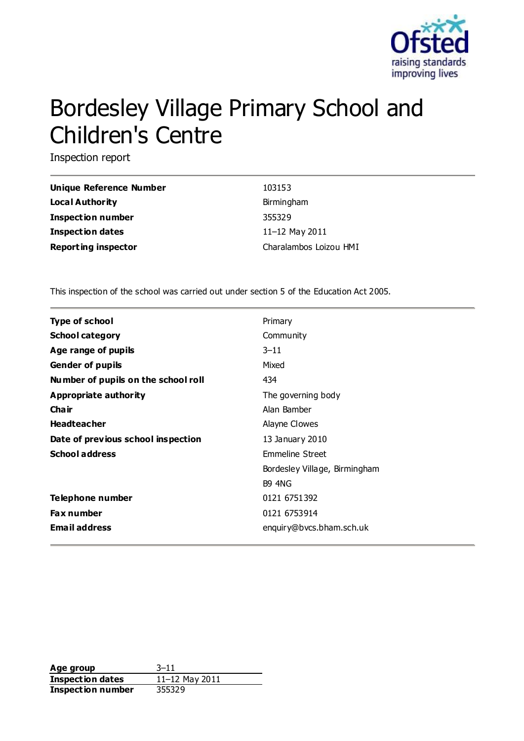

# Bordesley Village Primary School and Children's Centre

Inspection report

| Unique Reference Number    | 103153                 |
|----------------------------|------------------------|
| Local Authority            | Birmingham             |
| <b>Inspection number</b>   | 355329                 |
| <b>Inspection dates</b>    | 11-12 May 2011         |
| <b>Reporting inspector</b> | Charalambos Loizou HMI |

This inspection of the school was carried out under section 5 of the Education Act 2005.

| <b>Type of school</b>               | Primary                       |
|-------------------------------------|-------------------------------|
| <b>School category</b>              | Community                     |
| Age range of pupils                 | $3 - 11$                      |
| <b>Gender of pupils</b>             | Mixed                         |
| Number of pupils on the school roll | 434                           |
| Appropriate authority               | The governing body            |
| Cha ir                              | Alan Bamber                   |
| <b>Headteacher</b>                  | Alayne Clowes                 |
| Date of previous school inspection  | 13 January 2010               |
| <b>School address</b>               | Emmeline Street               |
|                                     | Bordesley Village, Birmingham |
|                                     | <b>B9 4NG</b>                 |
| Telephone number                    | 0121 6751392                  |
| <b>Fax number</b>                   | 0121 6753914                  |
| <b>Email address</b>                | enquiry@bvcs.bham.sch.uk      |

**Age group** 3–11 **Inspection dates** 11–12 May 2011 **Inspection number** 355329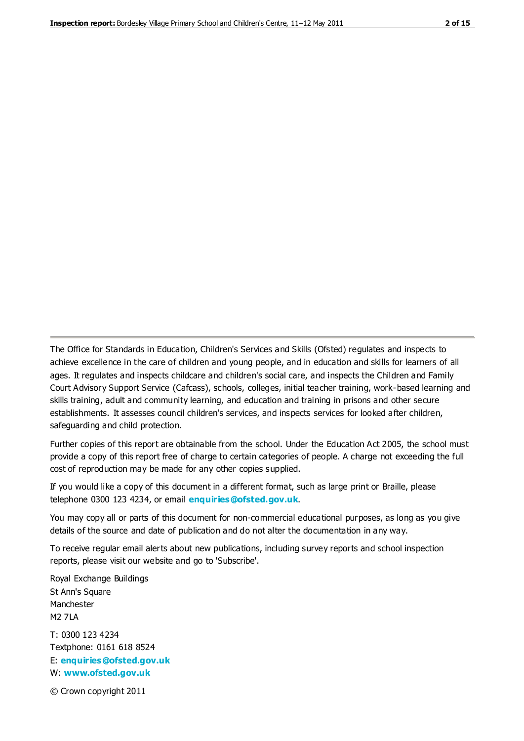The Office for Standards in Education, Children's Services and Skills (Ofsted) regulates and inspects to achieve excellence in the care of children and young people, and in education and skills for learners of all ages. It regulates and inspects childcare and children's social care, and inspects the Children and Family Court Advisory Support Service (Cafcass), schools, colleges, initial teacher training, work-based learning and skills training, adult and community learning, and education and training in prisons and other secure establishments. It assesses council children's services, and inspects services for looked after children, safeguarding and child protection.

Further copies of this report are obtainable from the school. Under the Education Act 2005, the school must provide a copy of this report free of charge to certain categories of people. A charge not exceeding the full cost of reproduction may be made for any other copies supplied.

If you would like a copy of this document in a different format, such as large print or Braille, please telephone 0300 123 4234, or email **[enquiries@ofsted.gov.uk](mailto:enquiries@ofsted.gov.uk)**.

You may copy all or parts of this document for non-commercial educational purposes, as long as you give details of the source and date of publication and do not alter the documentation in any way.

To receive regular email alerts about new publications, including survey reports and school inspection reports, please visit our website and go to 'Subscribe'.

Royal Exchange Buildings St Ann's Square Manchester M2 7LA T: 0300 123 4234 Textphone: 0161 618 8524 E: **[enquiries@ofsted.gov.uk](mailto:enquiries@ofsted.gov.uk)**

W: **[www.ofsted.gov.uk](http://www.ofsted.gov.uk/)**

© Crown copyright 2011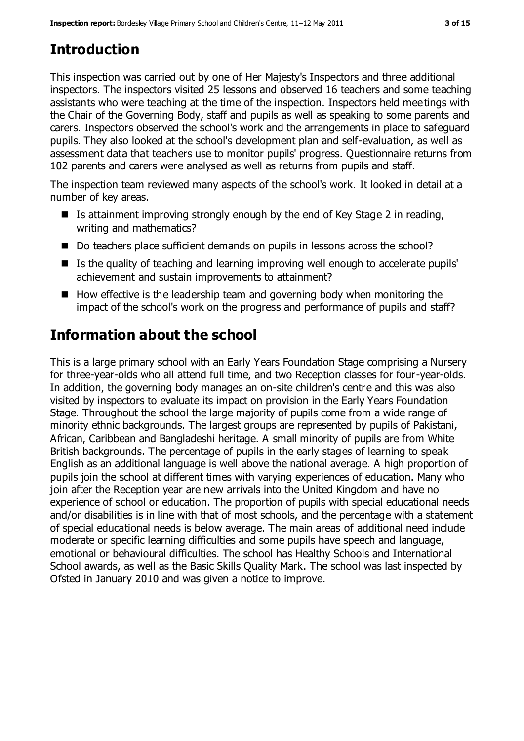# **Introduction**

This inspection was carried out by one of Her Majesty's Inspectors and three additional inspectors. The inspectors visited 25 lessons and observed 16 teachers and some teaching assistants who were teaching at the time of the inspection. Inspectors held meetings with the Chair of the Governing Body, staff and pupils as well as speaking to some parents and carers. Inspectors observed the school's work and the arrangements in place to safeguard pupils. They also looked at the school's development plan and self-evaluation, as well as assessment data that teachers use to monitor pupils' progress. Questionnaire returns from 102 parents and carers were analysed as well as returns from pupils and staff.

The inspection team reviewed many aspects of the school's work. It looked in detail at a number of key areas.

- Is attainment improving strongly enough by the end of Key Stage 2 in reading, writing and mathematics?
- Do teachers place sufficient demands on pupils in lessons across the school?
- Is the quality of teaching and learning improving well enough to accelerate pupils' achievement and sustain improvements to attainment?
- $\blacksquare$  How effective is the leadership team and governing body when monitoring the impact of the school's work on the progress and performance of pupils and staff?

# **Information about the school**

This is a large primary school with an Early Years Foundation Stage comprising a Nursery for three-year-olds who all attend full time, and two Reception classes for four-year-olds. In addition, the governing body manages an on-site children's centre and this was also visited by inspectors to evaluate its impact on provision in the Early Years Foundation Stage. Throughout the school the large majority of pupils come from a wide range of minority ethnic backgrounds. The largest groups are represented by pupils of Pakistani, African, Caribbean and Bangladeshi heritage. A small minority of pupils are from White British backgrounds. The percentage of pupils in the early stages of learning to speak English as an additional language is well above the national average. A high proportion of pupils join the school at different times with varying experiences of education. Many who join after the Reception year are new arrivals into the United Kingdom and have no experience of school or education. The proportion of pupils with special educational needs and/or disabilities is in line with that of most schools, and the percentage with a statement of special educational needs is below average. The main areas of additional need include moderate or specific learning difficulties and some pupils have speech and language, emotional or behavioural difficulties. The school has Healthy Schools and International School awards, as well as the Basic Skills Quality Mark. The school was last inspected by Ofsted in January 2010 and was given a notice to improve.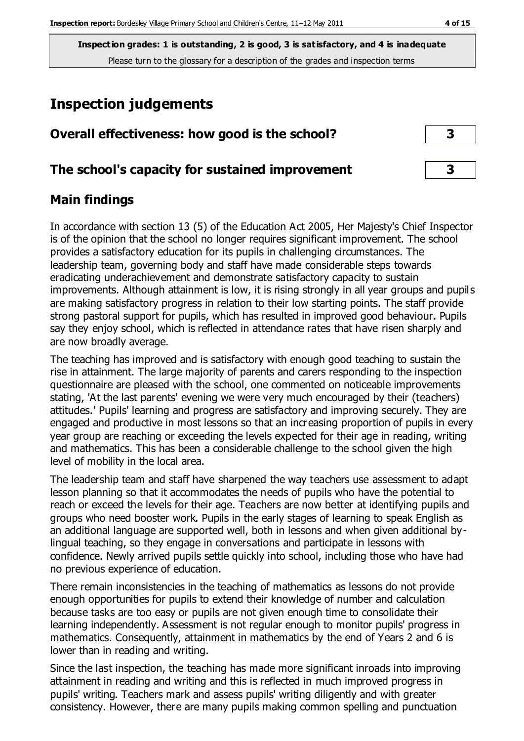# **Inspection judgements**

| Overall effectiveness: how good is the school?  |  |
|-------------------------------------------------|--|
| The school's capacity for sustained improvement |  |

# **Main findings**

In accordance with section 13 (5) of the Education Act 2005, Her Majesty's Chief Inspector is of the opinion that the school no longer requires significant improvement. The school provides a satisfactory education for its pupils in challenging circumstances. The leadership team, governing body and staff have made considerable steps towards eradicating underachievement and demonstrate satisfactory capacity to sustain improvements. Although attainment is low, it is rising strongly in all year groups and pupils are making satisfactory progress in relation to their low starting points. The staff provide strong pastoral support for pupils, which has resulted in improved good behaviour. Pupils say they enjoy school, which is reflected in attendance rates that have risen sharply and are now broadly average.

The teaching has improved and is satisfactory with enough good teaching to sustain the rise in attainment. The large majority of parents and carers responding to the inspection questionnaire are pleased with the school, one commented on noticeable improvements stating, 'At the last parents' evening we were very much encouraged by their (teachers) attitudes.' Pupils' learning and progress are satisfactory and improving securely. They are engaged and productive in most lessons so that an increasing proportion of pupils in every year group are reaching or exceeding the levels expected for their age in reading, writing and mathematics. This has been a considerable challenge to the school given the high level of mobility in the local area.

The leadership team and staff have sharpened the way teachers use assessment to adapt lesson planning so that it accommodates the needs of pupils who have the potential to reach or exceed the levels for their age. Teachers are now better at identifying pupils and groups who need booster work. Pupils in the early stages of learning to speak English as an additional language are supported well, both in lessons and when given additional bylingual teaching, so they engage in conversations and participate in lessons with confidence. Newly arrived pupils settle quickly into school, including those who have had no previous experience of education.

There remain inconsistencies in the teaching of mathematics as lessons do not provide enough opportunities for pupils to extend their knowledge of number and calculation because tasks are too easy or pupils are not given enough time to consolidate their learning independently. Assessment is not regular enough to monitor pupils' progress in mathematics. Consequently, attainment in mathematics by the end of Years 2 and 6 is lower than in reading and writing.

Since the last inspection, the teaching has made more significant inroads into improving attainment in reading and writing and this is reflected in much improved progress in pupils' writing. Teachers mark and assess pupils' writing diligently and with greater consistency. However, there are many pupils making common spelling and punctuation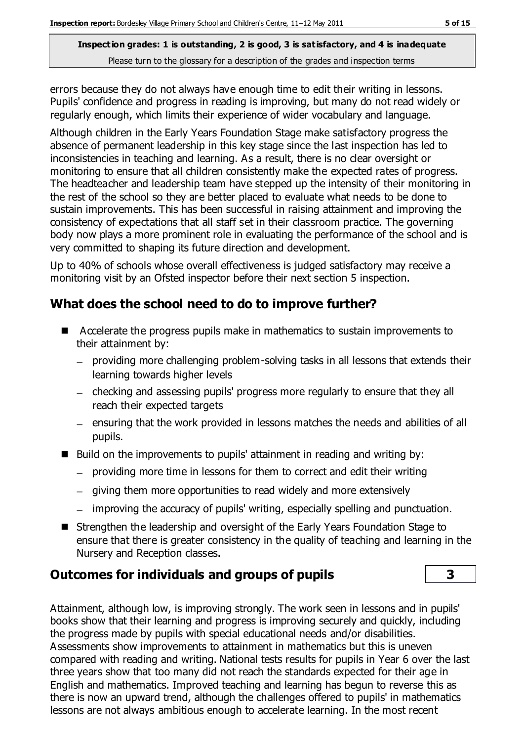errors because they do not always have enough time to edit their writing in lessons. Pupils' confidence and progress in reading is improving, but many do not read widely or regularly enough, which limits their experience of wider vocabulary and language.

Although children in the Early Years Foundation Stage make satisfactory progress the absence of permanent leadership in this key stage since the last inspection has led to inconsistencies in teaching and learning. As a result, there is no clear oversight or monitoring to ensure that all children consistently make the expected rates of progress. The headteacher and leadership team have stepped up the intensity of their monitoring in the rest of the school so they are better placed to evaluate what needs to be done to sustain improvements. This has been successful in raising attainment and improving the consistency of expectations that all staff set in their classroom practice. The governing body now plays a more prominent role in evaluating the performance of the school and is very committed to shaping its future direction and development.

Up to 40% of schools whose overall effectiveness is judged satisfactory may receive a monitoring visit by an Ofsted inspector before their next section 5 inspection.

# **What does the school need to do to improve further?**

- Accelerate the progress pupils make in mathematics to sustain improvements to their attainment by:
	- providing more challenging problem-solving tasks in all lessons that extends their learning towards higher levels
	- checking and assessing pupils' progress more regularly to ensure that they all reach their expected targets
	- ensuring that the work provided in lessons matches the needs and abilities of all pupils.
- $\blacksquare$  Build on the improvements to pupils' attainment in reading and writing by:
	- $-$  providing more time in lessons for them to correct and edit their writing
	- giving them more opportunities to read widely and more extensively
	- improving the accuracy of pupils' writing, especially spelling and punctuation.
- Strengthen the leadership and oversight of the Early Years Foundation Stage to ensure that there is greater consistency in the quality of teaching and learning in the Nursery and Reception classes.

# **Outcomes for individuals and groups of pupils 3**

Attainment, although low, is improving strongly. The work seen in lessons and in pupils' books show that their learning and progress is improving securely and quickly, including the progress made by pupils with special educational needs and/or disabilities. Assessments show improvements to attainment in mathematics but this is uneven compared with reading and writing. National tests results for pupils in Year 6 over the last three years show that too many did not reach the standards expected for their age in English and mathematics. Improved teaching and learning has begun to reverse this as there is now an upward trend, although the challenges offered to pupils' in mathematics lessons are not always ambitious enough to accelerate learning. In the most recent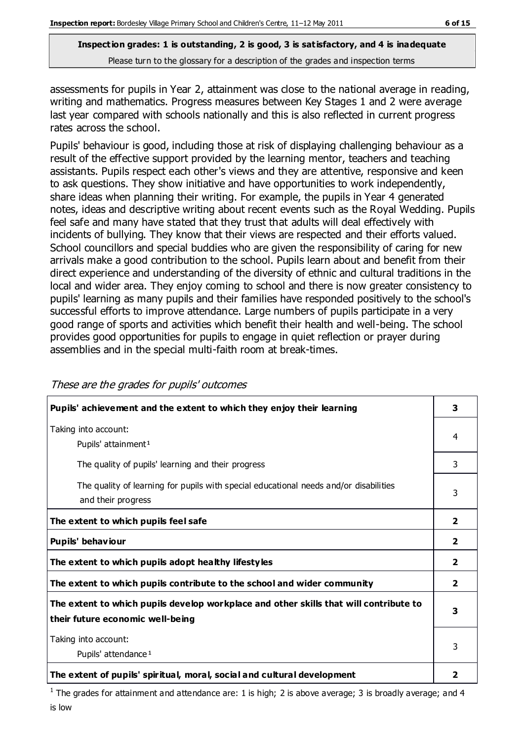assessments for pupils in Year 2, attainment was close to the national average in reading, writing and mathematics. Progress measures between Key Stages 1 and 2 were average last year compared with schools nationally and this is also reflected in current progress rates across the school.

Pupils' behaviour is good, including those at risk of displaying challenging behaviour as a result of the effective support provided by the learning mentor, teachers and teaching assistants. Pupils respect each other's views and they are attentive, responsive and keen to ask questions. They show initiative and have opportunities to work independently, share ideas when planning their writing. For example, the pupils in Year 4 generated notes, ideas and descriptive writing about recent events such as the Royal Wedding. Pupils feel safe and many have stated that they trust that adults will deal effectively with incidents of bullying. They know that their views are respected and their efforts valued. School councillors and special buddies who are given the responsibility of caring for new arrivals make a good contribution to the school. Pupils learn about and benefit from their direct experience and understanding of the diversity of ethnic and cultural traditions in the local and wider area. They enjoy coming to school and there is now greater consistency to pupils' learning as many pupils and their families have responded positively to the school's successful efforts to improve attendance. Large numbers of pupils participate in a very good range of sports and activities which benefit their health and well-being. The school provides good opportunities for pupils to engage in quiet reflection or prayer during assemblies and in the special multi-faith room at break-times.

| Pupils' achievement and the extent to which they enjoy their learning                                                     | 3                       |
|---------------------------------------------------------------------------------------------------------------------------|-------------------------|
| Taking into account:<br>Pupils' attainment <sup>1</sup>                                                                   | 4                       |
| The quality of pupils' learning and their progress                                                                        | 3                       |
| The quality of learning for pupils with special educational needs and/or disabilities<br>and their progress               | 3                       |
| The extent to which pupils feel safe                                                                                      | $\overline{\mathbf{2}}$ |
| Pupils' behaviour                                                                                                         | $\overline{\mathbf{2}}$ |
| The extent to which pupils adopt healthy lifestyles                                                                       | 2                       |
| The extent to which pupils contribute to the school and wider community                                                   | $\overline{\mathbf{2}}$ |
| The extent to which pupils develop workplace and other skills that will contribute to<br>their future economic well-being |                         |
| Taking into account:<br>Pupils' attendance <sup>1</sup>                                                                   | 3                       |
| The extent of pupils' spiritual, moral, social and cultural development                                                   | 2                       |

These are the grades for pupils' outcomes

<sup>1</sup> The grades for attainment and attendance are: 1 is high; 2 is above average; 3 is broadly average; and 4 is low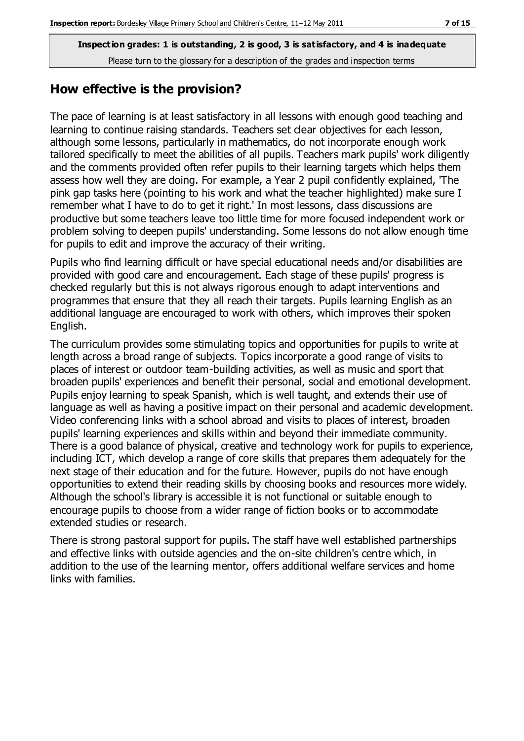### **How effective is the provision?**

The pace of learning is at least satisfactory in all lessons with enough good teaching and learning to continue raising standards. Teachers set clear objectives for each lesson, although some lessons, particularly in mathematics, do not incorporate enough work tailored specifically to meet the abilities of all pupils. Teachers mark pupils' work diligently and the comments provided often refer pupils to their learning targets which helps them assess how well they are doing. For example, a Year 2 pupil confidently explained, 'The pink gap tasks here (pointing to his work and what the teacher highlighted) make sure I remember what I have to do to get it right.' In most lessons, class discussions are productive but some teachers leave too little time for more focused independent work or problem solving to deepen pupils' understanding. Some lessons do not allow enough time for pupils to edit and improve the accuracy of their writing.

Pupils who find learning difficult or have special educational needs and/or disabilities are provided with good care and encouragement. Each stage of these pupils' progress is checked regularly but this is not always rigorous enough to adapt interventions and programmes that ensure that they all reach their targets. Pupils learning English as an additional language are encouraged to work with others, which improves their spoken English.

The curriculum provides some stimulating topics and opportunities for pupils to write at length across a broad range of subjects. Topics incorporate a good range of visits to places of interest or outdoor team-building activities, as well as music and sport that broaden pupils' experiences and benefit their personal, social and emotional development. Pupils enjoy learning to speak Spanish, which is well taught, and extends their use of language as well as having a positive impact on their personal and academic development. Video conferencing links with a school abroad and visits to places of interest, broaden pupils' learning experiences and skills within and beyond their immediate community. There is a good balance of physical, creative and technology work for pupils to experience, including ICT, which develop a range of core skills that prepares them adequately for the next stage of their education and for the future. However, pupils do not have enough opportunities to extend their reading skills by choosing books and resources more widely. Although the school's library is accessible it is not functional or suitable enough to encourage pupils to choose from a wider range of fiction books or to accommodate extended studies or research.

There is strong pastoral support for pupils. The staff have well established partnerships and effective links with outside agencies and the on-site children's centre which, in addition to the use of the learning mentor, offers additional welfare services and home links with families.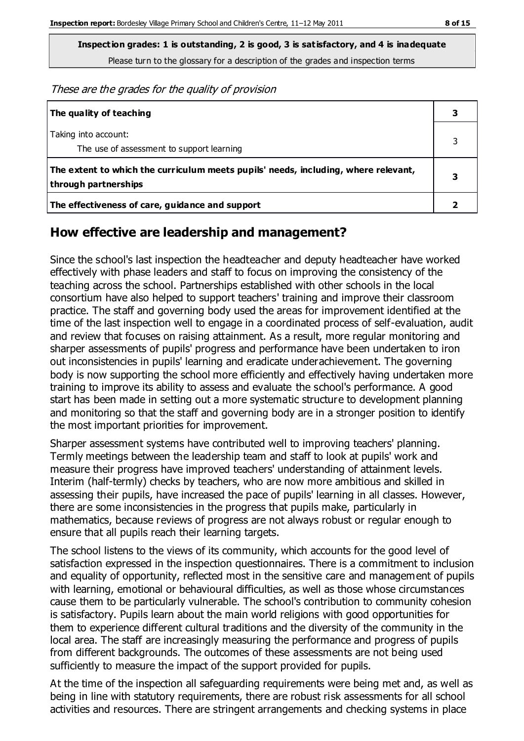**Inspection grades: 1 is outstanding, 2 is good, 3 is satisfactory, and 4 is inadequate**

Please turn to the glossary for a description of the grades and inspection terms

These are the grades for the quality of provision

| The quality of teaching                                                                                    |  |
|------------------------------------------------------------------------------------------------------------|--|
| Taking into account:<br>The use of assessment to support learning                                          |  |
| The extent to which the curriculum meets pupils' needs, including, where relevant,<br>through partnerships |  |
| The effectiveness of care, guidance and support                                                            |  |

# **How effective are leadership and management?**

Since the school's last inspection the headteacher and deputy headteacher have worked effectively with phase leaders and staff to focus on improving the consistency of the teaching across the school. Partnerships established with other schools in the local consortium have also helped to support teachers' training and improve their classroom practice. The staff and governing body used the areas for improvement identified at the time of the last inspection well to engage in a coordinated process of self-evaluation, audit and review that focuses on raising attainment. As a result, more regular monitoring and sharper assessments of pupils' progress and performance have been undertaken to iron out inconsistencies in pupils' learning and eradicate underachievement. The governing body is now supporting the school more efficiently and effectively having undertaken more training to improve its ability to assess and evaluate the school's performance. A good start has been made in setting out a more systematic structure to development planning and monitoring so that the staff and governing body are in a stronger position to identify the most important priorities for improvement.

Sharper assessment systems have contributed well to improving teachers' planning. Termly meetings between the leadership team and staff to look at pupils' work and measure their progress have improved teachers' understanding of attainment levels. Interim (half-termly) checks by teachers, who are now more ambitious and skilled in assessing their pupils, have increased the pace of pupils' learning in all classes. However, there are some inconsistencies in the progress that pupils make, particularly in mathematics, because reviews of progress are not always robust or regular enough to ensure that all pupils reach their learning targets.

The school listens to the views of its community, which accounts for the good level of satisfaction expressed in the inspection questionnaires. There is a commitment to inclusion and equality of opportunity, reflected most in the sensitive care and management of pupils with learning, emotional or behavioural difficulties, as well as those whose circumstances cause them to be particularly vulnerable. The school's contribution to community cohesion is satisfactory. Pupils learn about the main world religions with good opportunities for them to experience different cultural traditions and the diversity of the community in the local area. The staff are increasingly measuring the performance and progress of pupils from different backgrounds. The outcomes of these assessments are not being used sufficiently to measure the impact of the support provided for pupils.

At the time of the inspection all safeguarding requirements were being met and, as well as being in line with statutory requirements, there are robust risk assessments for all school activities and resources. There are stringent arrangements and checking systems in place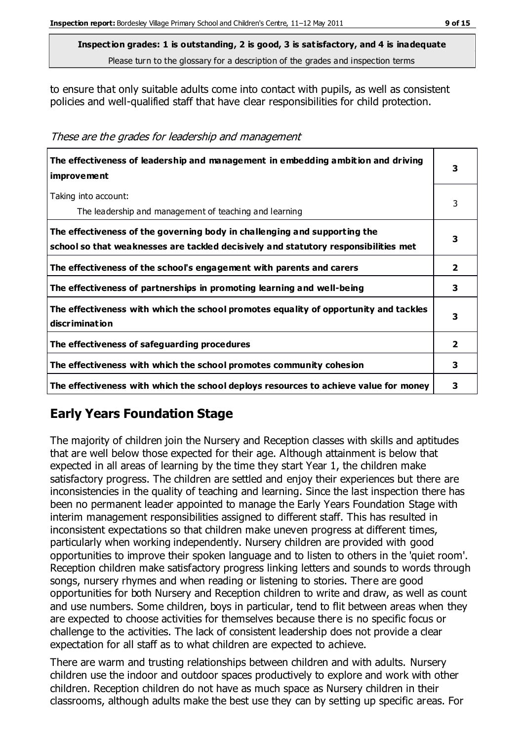to ensure that only suitable adults come into contact with pupils, as well as consistent policies and well-qualified staff that have clear responsibilities for child protection.

These are the grades for leadership and management

| The effectiveness of leadership and management in embedding ambition and driving<br>improvement                                                                  |                |
|------------------------------------------------------------------------------------------------------------------------------------------------------------------|----------------|
| Taking into account:<br>The leadership and management of teaching and learning                                                                                   | 3              |
| The effectiveness of the governing body in challenging and supporting the<br>school so that weaknesses are tackled decisively and statutory responsibilities met | 3              |
| The effectiveness of the school's engagement with parents and carers                                                                                             | $\overline{2}$ |
| The effectiveness of partnerships in promoting learning and well-being                                                                                           | 3              |
| The effectiveness with which the school promotes equality of opportunity and tackles<br>discrimination                                                           | 3              |
| The effectiveness of safeguarding procedures                                                                                                                     | 2              |
| The effectiveness with which the school promotes community cohesion                                                                                              |                |
| The effectiveness with which the school deploys resources to achieve value for money                                                                             | 3              |

# **Early Years Foundation Stage**

The majority of children join the Nursery and Reception classes with skills and aptitudes that are well below those expected for their age. Although attainment is below that expected in all areas of learning by the time they start Year 1, the children make satisfactory progress. The children are settled and enjoy their experiences but there are inconsistencies in the quality of teaching and learning. Since the last inspection there has been no permanent leader appointed to manage the Early Years Foundation Stage with interim management responsibilities assigned to different staff. This has resulted in inconsistent expectations so that children make uneven progress at different times, particularly when working independently. Nursery children are provided with good opportunities to improve their spoken language and to listen to others in the 'quiet room'. Reception children make satisfactory progress linking letters and sounds to words through songs, nursery rhymes and when reading or listening to stories. There are good opportunities for both Nursery and Reception children to write and draw, as well as count and use numbers. Some children, boys in particular, tend to flit between areas when they are expected to choose activities for themselves because there is no specific focus or challenge to the activities. The lack of consistent leadership does not provide a clear expectation for all staff as to what children are expected to achieve.

There are warm and trusting relationships between children and with adults. Nursery children use the indoor and outdoor spaces productively to explore and work with other children. Reception children do not have as much space as Nursery children in their classrooms, although adults make the best use they can by setting up specific areas. For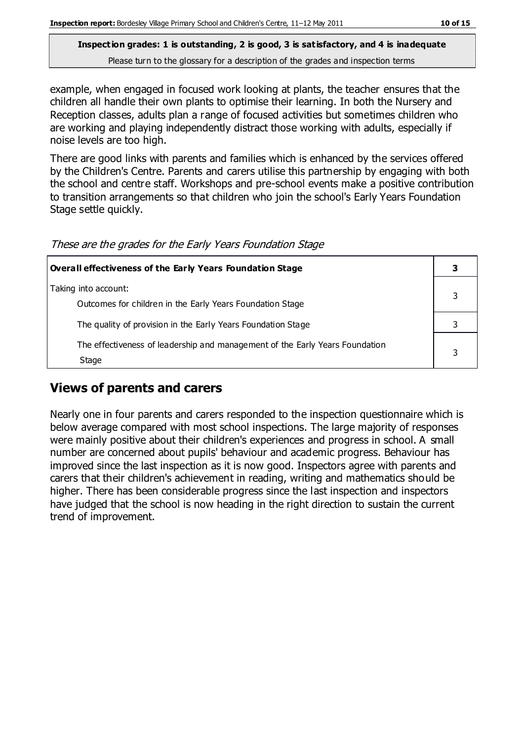example, when engaged in focused work looking at plants, the teacher ensures that the children all handle their own plants to optimise their learning. In both the Nursery and Reception classes, adults plan a range of focused activities but sometimes children who are working and playing independently distract those working with adults, especially if noise levels are too high.

There are good links with parents and families which is enhanced by the services offered by the Children's Centre. Parents and carers utilise this partnership by engaging with both the school and centre staff. Workshops and pre-school events make a positive contribution to transition arrangements so that children who join the school's Early Years Foundation Stage settle quickly.

These are the grades for the Early Years Foundation Stage

| Overall effectiveness of the Early Years Foundation Stage                             |  |
|---------------------------------------------------------------------------------------|--|
| Taking into account:<br>Outcomes for children in the Early Years Foundation Stage     |  |
| The quality of provision in the Early Years Foundation Stage                          |  |
| The effectiveness of leadership and management of the Early Years Foundation<br>Stage |  |

# **Views of parents and carers**

Nearly one in four parents and carers responded to the inspection questionnaire which is below average compared with most school inspections. The large majority of responses were mainly positive about their children's experiences and progress in school. A small number are concerned about pupils' behaviour and academic progress. Behaviour has improved since the last inspection as it is now good. Inspectors agree with parents and carers that their children's achievement in reading, writing and mathematics should be higher. There has been considerable progress since the last inspection and inspectors have judged that the school is now heading in the right direction to sustain the current trend of improvement.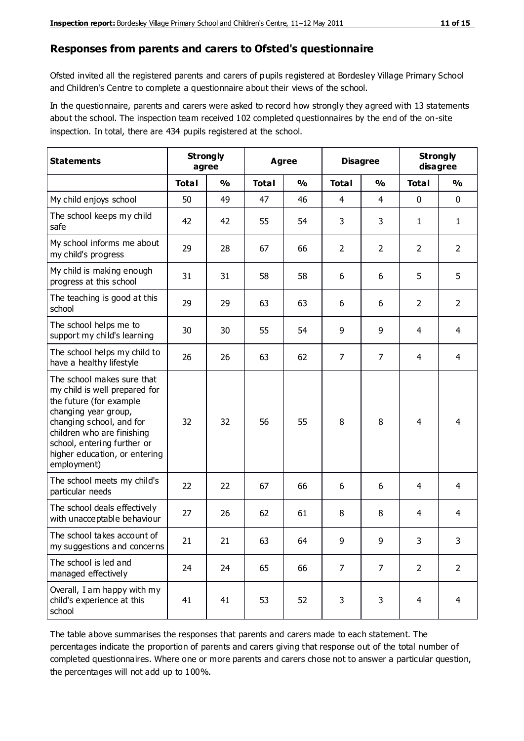#### **Responses from parents and carers to Ofsted's questionnaire**

Ofsted invited all the registered parents and carers of pupils registered at Bordesley Village Primary School and Children's Centre to complete a questionnaire about their views of the school.

In the questionnaire, parents and carers were asked to record how strongly they agreed with 13 statements about the school. The inspection team received 102 completed questionnaires by the end of the on-site inspection. In total, there are 434 pupils registered at the school.

| <b>Statements</b>                                                                                                                                                                                                                                       | <b>Strongly</b><br>agree |               | Agree        |               | <b>Disagree</b> |                | <b>Strongly</b><br>disagree |                |
|---------------------------------------------------------------------------------------------------------------------------------------------------------------------------------------------------------------------------------------------------------|--------------------------|---------------|--------------|---------------|-----------------|----------------|-----------------------------|----------------|
|                                                                                                                                                                                                                                                         | <b>Total</b>             | $\frac{0}{0}$ | <b>Total</b> | $\frac{0}{0}$ | <b>Total</b>    | $\frac{0}{0}$  | <b>Total</b>                | $\frac{0}{0}$  |
| My child enjoys school                                                                                                                                                                                                                                  | 50                       | 49            | 47           | 46            | $\overline{4}$  | $\overline{4}$ | $\mathbf 0$                 | $\mathbf 0$    |
| The school keeps my child<br>safe                                                                                                                                                                                                                       | 42                       | 42            | 55           | 54            | 3               | 3              | 1                           | $\mathbf{1}$   |
| My school informs me about<br>my child's progress                                                                                                                                                                                                       | 29                       | 28            | 67           | 66            | $\overline{2}$  | $\overline{2}$ | $\overline{2}$              | $\overline{2}$ |
| My child is making enough<br>progress at this school                                                                                                                                                                                                    | 31                       | 31            | 58           | 58            | 6               | 6              | 5                           | 5              |
| The teaching is good at this<br>school                                                                                                                                                                                                                  | 29                       | 29            | 63           | 63            | 6               | 6              | $\overline{2}$              | $\overline{2}$ |
| The school helps me to<br>support my child's learning                                                                                                                                                                                                   | 30                       | 30            | 55           | 54            | 9               | 9              | 4                           | $\overline{4}$ |
| The school helps my child to<br>have a healthy lifestyle                                                                                                                                                                                                | 26                       | 26            | 63           | 62            | $\overline{7}$  | $\overline{7}$ | $\overline{4}$              | $\overline{4}$ |
| The school makes sure that<br>my child is well prepared for<br>the future (for example<br>changing year group,<br>changing school, and for<br>children who are finishing<br>school, entering further or<br>higher education, or entering<br>employment) | 32                       | 32            | 56           | 55            | 8               | 8              | 4                           | 4              |
| The school meets my child's<br>particular needs                                                                                                                                                                                                         | 22                       | 22            | 67           | 66            | 6               | 6              | 4                           | 4              |
| The school deals effectively<br>with unacceptable behaviour                                                                                                                                                                                             | 27                       | 26            | 62           | 61            | 8               | 8              | 4                           | 4              |
| The school takes account of<br>my suggestions and concerns                                                                                                                                                                                              | 21                       | 21            | 63           | 64            | 9               | 9              | 3                           | 3              |
| The school is led and<br>managed effectively                                                                                                                                                                                                            | 24                       | 24            | 65           | 66            | $\overline{7}$  | $\overline{7}$ | $\overline{2}$              | $\overline{2}$ |
| Overall, I am happy with my<br>child's experience at this<br>school                                                                                                                                                                                     | 41                       | 41            | 53           | 52            | 3               | 3              | $\overline{4}$              | $\overline{4}$ |

The table above summarises the responses that parents and carers made to each statement. The percentages indicate the proportion of parents and carers giving that response out of the total number of completed questionnaires. Where one or more parents and carers chose not to answer a particular question, the percentages will not add up to 100%.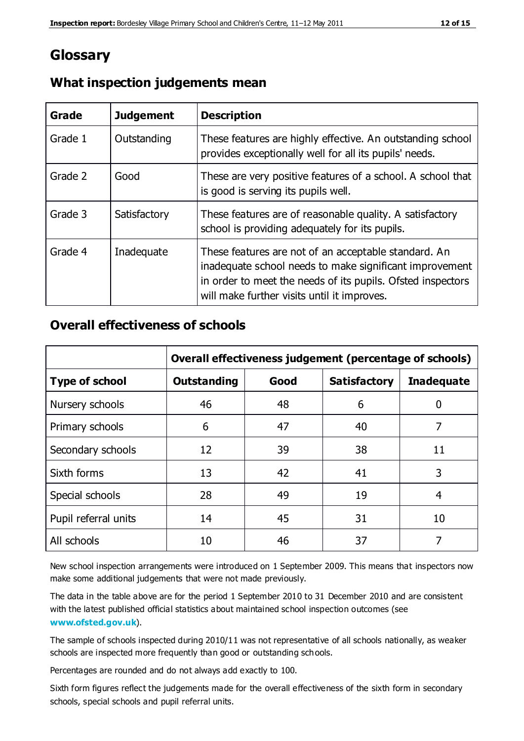# **Glossary**

| Grade   | <b>Judgement</b> | <b>Description</b>                                                                                                                                                                                                            |
|---------|------------------|-------------------------------------------------------------------------------------------------------------------------------------------------------------------------------------------------------------------------------|
| Grade 1 | Outstanding      | These features are highly effective. An outstanding school<br>provides exceptionally well for all its pupils' needs.                                                                                                          |
| Grade 2 | Good             | These are very positive features of a school. A school that<br>is good is serving its pupils well.                                                                                                                            |
| Grade 3 | Satisfactory     | These features are of reasonable quality. A satisfactory<br>school is providing adequately for its pupils.                                                                                                                    |
| Grade 4 | Inadequate       | These features are not of an acceptable standard. An<br>inadequate school needs to make significant improvement<br>in order to meet the needs of its pupils. Ofsted inspectors<br>will make further visits until it improves. |

## **What inspection judgements mean**

## **Overall effectiveness of schools**

|                       | Overall effectiveness judgement (percentage of schools) |      |                     |                   |
|-----------------------|---------------------------------------------------------|------|---------------------|-------------------|
| <b>Type of school</b> | <b>Outstanding</b>                                      | Good | <b>Satisfactory</b> | <b>Inadequate</b> |
| Nursery schools       | 46                                                      | 48   | 6                   |                   |
| Primary schools       | 6                                                       | 47   | 40                  | 7                 |
| Secondary schools     | 12                                                      | 39   | 38                  | 11                |
| Sixth forms           | 13                                                      | 42   | 41                  | 3                 |
| Special schools       | 28                                                      | 49   | 19                  | 4                 |
| Pupil referral units  | 14                                                      | 45   | 31                  | 10                |
| All schools           | 10                                                      | 46   | 37                  |                   |

New school inspection arrangements were introduced on 1 September 2009. This means that inspectors now make some additional judgements that were not made previously.

The data in the table above are for the period 1 September 2010 to 31 December 2010 and are consistent with the latest published official statistics about maintained school inspection outcomes (see **[www.ofsted.gov.uk](http://www.ofsted.gov.uk/)**).

The sample of schools inspected during 2010/11 was not representative of all schools nationally, as weaker schools are inspected more frequently than good or outstanding schools.

Percentages are rounded and do not always add exactly to 100.

Sixth form figures reflect the judgements made for the overall effectiveness of the sixth form in secondary schools, special schools and pupil referral units.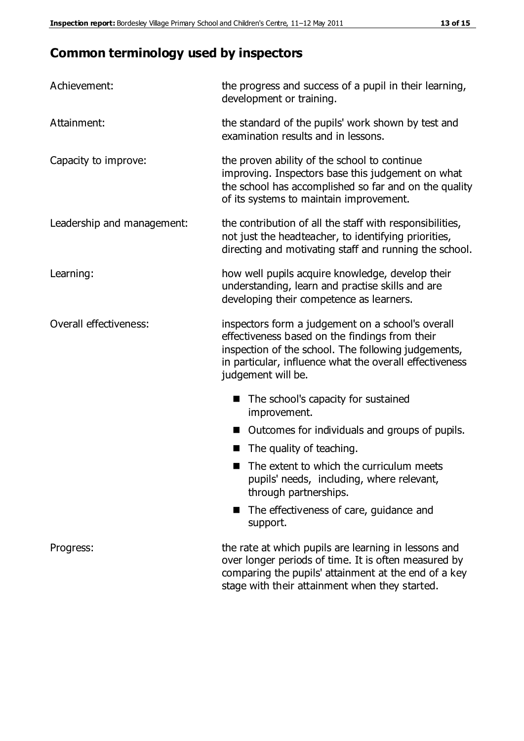# **Common terminology used by inspectors**

| Achievement:               | the progress and success of a pupil in their learning,<br>development or training.                                                                                                                                                          |
|----------------------------|---------------------------------------------------------------------------------------------------------------------------------------------------------------------------------------------------------------------------------------------|
| Attainment:                | the standard of the pupils' work shown by test and<br>examination results and in lessons.                                                                                                                                                   |
| Capacity to improve:       | the proven ability of the school to continue<br>improving. Inspectors base this judgement on what<br>the school has accomplished so far and on the quality<br>of its systems to maintain improvement.                                       |
| Leadership and management: | the contribution of all the staff with responsibilities,<br>not just the headteacher, to identifying priorities,<br>directing and motivating staff and running the school.                                                                  |
| Learning:                  | how well pupils acquire knowledge, develop their<br>understanding, learn and practise skills and are<br>developing their competence as learners.                                                                                            |
| Overall effectiveness:     | inspectors form a judgement on a school's overall<br>effectiveness based on the findings from their<br>inspection of the school. The following judgements,<br>in particular, influence what the overall effectiveness<br>judgement will be. |
|                            | The school's capacity for sustained<br>improvement.                                                                                                                                                                                         |
|                            | Outcomes for individuals and groups of pupils.                                                                                                                                                                                              |
|                            | The quality of teaching.                                                                                                                                                                                                                    |
|                            | The extent to which the curriculum meets<br>pupils' needs, including, where relevant,<br>through partnerships.                                                                                                                              |
|                            | The effectiveness of care, guidance and<br>support.                                                                                                                                                                                         |
| Progress:                  | the rate at which pupils are learning in lessons and<br>over longer periods of time. It is often measured by<br>comparing the pupils' attainment at the end of a key                                                                        |

stage with their attainment when they started.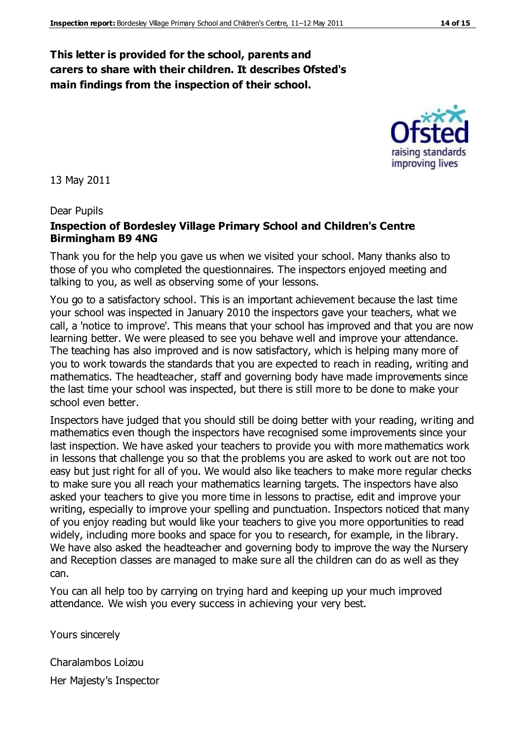#### **This letter is provided for the school, parents and carers to share with their children. It describes Ofsted's main findings from the inspection of their school.**

13 May 2011

#### Dear Pupils

#### **Inspection of Bordesley Village Primary School and Children's Centre Birmingham B9 4NG**

Thank you for the help you gave us when we visited your school. Many thanks also to those of you who completed the questionnaires. The inspectors enjoyed meeting and talking to you, as well as observing some of your lessons.

You go to a satisfactory school. This is an important achievement because the last time your school was inspected in January 2010 the inspectors gave your teachers, what we call, a 'notice to improve'. This means that your school has improved and that you are now learning better. We were pleased to see you behave well and improve your attendance. The teaching has also improved and is now satisfactory, which is helping many more of you to work towards the standards that you are expected to reach in reading, writing and mathematics. The headteacher, staff and governing body have made improvements since the last time your school was inspected, but there is still more to be done to make your school even better.

Inspectors have judged that you should still be doing better with your reading, writing and mathematics even though the inspectors have recognised some improvements since your last inspection. We have asked your teachers to provide you with more mathematics work in lessons that challenge you so that the problems you are asked to work out are not too easy but just right for all of you. We would also like teachers to make more regular checks to make sure you all reach your mathematics learning targets. The inspectors have also asked your teachers to give you more time in lessons to practise, edit and improve your writing, especially to improve your spelling and punctuation. Inspectors noticed that many of you enjoy reading but would like your teachers to give you more opportunities to read widely, including more books and space for you to research, for example, in the library. We have also asked the headteacher and governing body to improve the way the Nursery and Reception classes are managed to make sure all the children can do as well as they can.

You can all help too by carrying on trying hard and keeping up your much improved attendance. We wish you every success in achieving your very best.

Yours sincerely

Charalambos Loizou Her Majesty's Inspector